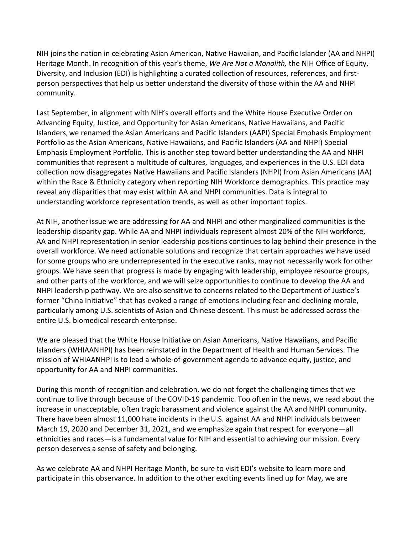NIH joins the nation in celebrating Asian American, Native Hawaiian, and Pacific Islander (AA and NHPI) Heritage Month. In recognition of this year's theme, *[We Are Not a Monolith,](https://urldefense.proofpoint.com/v2/url?u=https-3A__www.edi.nih.gov_aanhpi2022&d=DwMF-g&c=shNJtf5dKgNcPZ6Yh64b-A&r=TKLyDO4Z1rcrXrdV7TV3UA&m=-RdtoT_2-7eKDnAFQ8Tiq2A13TARrOfXymRXwopZni0&s=0DjIFK8FeOfUx-SDIoft3rhxnTYxntcqRRo2hKUYdus&e=)* the NIH Office of Equity, Diversity, and Inclusion (EDI) is highlighting a curated collection of resources, references, and firstperson perspectives that help us better understand the diversity of those within the AA and NHPI community.

Last September, in alignment with NIH's overall efforts and the [White House Executive Order on](https://urldefense.proofpoint.com/v2/url?u=https-3A__gcc02.safelinks.protection.outlook.com_-3Furl-3Dhttps-253A-252F-252Fwww.whitehouse.gov-252Fbriefing-2Droom-252Fpresidential-2Dactions-252F2021-252F05-252F28-252Fexecutive-2Dorder-2Don-2Dadvancing-2Dequity-2Djustice-2Dand-2Dopportunity-2Dfor-2Dasian-2Damericans-2Dnative-2Dhawaiians-2Dand-2Dpacific-2Dislanders-252F-26data-3D05-257C01-257Cmichael.chiang-2540nih.gov-257Cbea526df1d7a4a2ea6ff08da2c722f0b-257C14b77578977342d58507251ca2dc2b06-257C0-257C0-257C637871166201657044-257CUnknown-257CTWFpbGZsb3d8eyJWIjoiMC4wLjAwMDAiLCJQIjoiV2luMzIiLCJBTiI6Ik1haWwiLCJXVCI6Mn0-253D-257C3000-257C-257C-257C-26sdata-3DMAPsA4BefSpYr6gOdGh8-252FiF-252BpE5OVtWK3N02nqGM5SM-253D-26reserved-3D0&d=DwMF-g&c=shNJtf5dKgNcPZ6Yh64b-A&r=TKLyDO4Z1rcrXrdV7TV3UA&m=-RdtoT_2-7eKDnAFQ8Tiq2A13TARrOfXymRXwopZni0&s=DakLSMIPYwPYaopIRoZpp-jqdylN6qmJjN9HbW-TE7w&e=)  [Advancing Equity, Justice, and Opportunity for Asian Americans, Native Hawaiians, and Pacific](https://urldefense.proofpoint.com/v2/url?u=https-3A__gcc02.safelinks.protection.outlook.com_-3Furl-3Dhttps-253A-252F-252Fwww.whitehouse.gov-252Fbriefing-2Droom-252Fpresidential-2Dactions-252F2021-252F05-252F28-252Fexecutive-2Dorder-2Don-2Dadvancing-2Dequity-2Djustice-2Dand-2Dopportunity-2Dfor-2Dasian-2Damericans-2Dnative-2Dhawaiians-2Dand-2Dpacific-2Dislanders-252F-26data-3D05-257C01-257Cmichael.chiang-2540nih.gov-257Cbea526df1d7a4a2ea6ff08da2c722f0b-257C14b77578977342d58507251ca2dc2b06-257C0-257C0-257C637871166201657044-257CUnknown-257CTWFpbGZsb3d8eyJWIjoiMC4wLjAwMDAiLCJQIjoiV2luMzIiLCJBTiI6Ik1haWwiLCJXVCI6Mn0-253D-257C3000-257C-257C-257C-26sdata-3DMAPsA4BefSpYr6gOdGh8-252FiF-252BpE5OVtWK3N02nqGM5SM-253D-26reserved-3D0&d=DwMF-g&c=shNJtf5dKgNcPZ6Yh64b-A&r=TKLyDO4Z1rcrXrdV7TV3UA&m=-RdtoT_2-7eKDnAFQ8Tiq2A13TARrOfXymRXwopZni0&s=DakLSMIPYwPYaopIRoZpp-jqdylN6qmJjN9HbW-TE7w&e=)  [Islanders,](https://urldefense.proofpoint.com/v2/url?u=https-3A__gcc02.safelinks.protection.outlook.com_-3Furl-3Dhttps-253A-252F-252Fwww.whitehouse.gov-252Fbriefing-2Droom-252Fpresidential-2Dactions-252F2021-252F05-252F28-252Fexecutive-2Dorder-2Don-2Dadvancing-2Dequity-2Djustice-2Dand-2Dopportunity-2Dfor-2Dasian-2Damericans-2Dnative-2Dhawaiians-2Dand-2Dpacific-2Dislanders-252F-26data-3D05-257C01-257Cmichael.chiang-2540nih.gov-257Cbea526df1d7a4a2ea6ff08da2c722f0b-257C14b77578977342d58507251ca2dc2b06-257C0-257C0-257C637871166201657044-257CUnknown-257CTWFpbGZsb3d8eyJWIjoiMC4wLjAwMDAiLCJQIjoiV2luMzIiLCJBTiI6Ik1haWwiLCJXVCI6Mn0-253D-257C3000-257C-257C-257C-26sdata-3DMAPsA4BefSpYr6gOdGh8-252FiF-252BpE5OVtWK3N02nqGM5SM-253D-26reserved-3D0&d=DwMF-g&c=shNJtf5dKgNcPZ6Yh64b-A&r=TKLyDO4Z1rcrXrdV7TV3UA&m=-RdtoT_2-7eKDnAFQ8Tiq2A13TARrOfXymRXwopZni0&s=DakLSMIPYwPYaopIRoZpp-jqdylN6qmJjN9HbW-TE7w&e=) w[e renamed](https://urldefense.proofpoint.com/v2/url?u=https-3A__www.edi.nih.gov_blog_news_inclusion-2Dnative-2Dhawaiians-2Dnih-2Dedi-2Dasian-2Damericans-2Dpacific-2Dislanders-2Dportfolio-2Dname&d=DwMF-g&c=shNJtf5dKgNcPZ6Yh64b-A&r=TKLyDO4Z1rcrXrdV7TV3UA&m=-RdtoT_2-7eKDnAFQ8Tiq2A13TARrOfXymRXwopZni0&s=IpGbb4e7k9E6voeCPUb7xNYwTrudhvsJxLtRcEi6uBE&e=) the Asian Americans and Pacific Islanders (AAPI) Special Emphasis Employment Portfolio as the [Asian Americans, Native Hawaiians, and Pacific Islanders \(AA and NHPI\) Special](https://urldefense.proofpoint.com/v2/url?u=https-3A__www.edi.nih.gov_people_sep_asian-2Damerican-2Dnative-2Dhawaiian-2Dpacific-2Dislander&d=DwMF-g&c=shNJtf5dKgNcPZ6Yh64b-A&r=TKLyDO4Z1rcrXrdV7TV3UA&m=-RdtoT_2-7eKDnAFQ8Tiq2A13TARrOfXymRXwopZni0&s=XHblFmrNPmuW3T2ONz5WsZGapZ89-9QFlV8aJ4lylgY&e=)  [Emphasis Employment Portfolio.](https://urldefense.proofpoint.com/v2/url?u=https-3A__www.edi.nih.gov_people_sep_asian-2Damerican-2Dnative-2Dhawaiian-2Dpacific-2Dislander&d=DwMF-g&c=shNJtf5dKgNcPZ6Yh64b-A&r=TKLyDO4Z1rcrXrdV7TV3UA&m=-RdtoT_2-7eKDnAFQ8Tiq2A13TARrOfXymRXwopZni0&s=XHblFmrNPmuW3T2ONz5WsZGapZ89-9QFlV8aJ4lylgY&e=) This is another step toward better understanding the AA and NHPI communities that represent a multitude of cultures, languages, and experiences in the U.S. EDI data collection now disaggregates Native Hawaiians and Pacific Islanders (NHPI) from Asian Americans (AA) within the Race & Ethnicity category when reporting [NIH Workforce demographics.](https://urldefense.proofpoint.com/v2/url?u=https-3A__www.edi.nih.gov_data_demographics&d=DwMF-g&c=shNJtf5dKgNcPZ6Yh64b-A&r=TKLyDO4Z1rcrXrdV7TV3UA&m=-RdtoT_2-7eKDnAFQ8Tiq2A13TARrOfXymRXwopZni0&s=car-TZsKtqatZwxIs4Ty-vUaeNzKeu8uKEkbdUfv_N8&e=) This practice may reveal any disparities that may exist within AA and NHPI communities. Data is integral to understanding workforce representation trends, as well as other important topics.

At NIH, another issue we are addressing for AA and NHPI and other marginalized communities is the leadership disparity gap. While AA and NHPI individuals represent almost [20% of the NIH workforce,](https://urldefense.proofpoint.com/v2/url?u=https-3A__www.edi.nih.gov_data_demographics&d=DwMF-g&c=shNJtf5dKgNcPZ6Yh64b-A&r=TKLyDO4Z1rcrXrdV7TV3UA&m=-RdtoT_2-7eKDnAFQ8Tiq2A13TARrOfXymRXwopZni0&s=car-TZsKtqatZwxIs4Ty-vUaeNzKeu8uKEkbdUfv_N8&e=) AA and NHPI representation in senior leadership positions continues to lag behind their presence in the overall workforce. We need actionable solutions and recognize that certain approaches we have used for some groups who are underrepresented in the executive ranks, may not necessarily work for other groups. We have seen that progress is made by engaging with leadership, employee resource groups, and other parts of the workforce, and we will seize opportunities to continue to develop the AA and NHPI leadership pathway. We are also sensitive to concerns related to the Department of Justice's former "China Initiative" that has evoked a range of emotions including fear and declining morale, particularly among U.S. scientists of Asian and Chinese descent. This must be addressed across the entire U.S. biomedical research enterprise.

We are pleased that the [White House Initiative on Asian Americans, Native Hawaiians, and Pacific](https://urldefense.proofpoint.com/v2/url?u=https-3A__gcc02.safelinks.protection.outlook.com_-3Furl-3Dhttps-253A-252F-252Fwww.hhs.gov-252Fabout-252Fwhiaanhpi-252Fabout-2Dus-252Findex.html-26data-3D05-257C01-257Cmichael.chiang-2540nih.gov-257Cbea526df1d7a4a2ea6ff08da2c722f0b-257C14b77578977342d58507251ca2dc2b06-257C0-257C0-257C637871166201657044-257CUnknown-257CTWFpbGZsb3d8eyJWIjoiMC4wLjAwMDAiLCJQIjoiV2luMzIiLCJBTiI6Ik1haWwiLCJXVCI6Mn0-253D-257C3000-257C-257C-257C-26sdata-3D0uYbf2AlALZI2IchXoWh0quOUG4w-252FfU-252F7Ki96KV5jWE-253D-26reserved-3D0&d=DwMF-g&c=shNJtf5dKgNcPZ6Yh64b-A&r=TKLyDO4Z1rcrXrdV7TV3UA&m=-RdtoT_2-7eKDnAFQ8Tiq2A13TARrOfXymRXwopZni0&s=quY-_I8bM1BnS5fgQg6BR_vo6FP7Mv3QCSrlpzzf0LY&e=)  [Islanders](https://urldefense.proofpoint.com/v2/url?u=https-3A__gcc02.safelinks.protection.outlook.com_-3Furl-3Dhttps-253A-252F-252Fwww.hhs.gov-252Fabout-252Fwhiaanhpi-252Fabout-2Dus-252Findex.html-26data-3D05-257C01-257Cmichael.chiang-2540nih.gov-257Cbea526df1d7a4a2ea6ff08da2c722f0b-257C14b77578977342d58507251ca2dc2b06-257C0-257C0-257C637871166201657044-257CUnknown-257CTWFpbGZsb3d8eyJWIjoiMC4wLjAwMDAiLCJQIjoiV2luMzIiLCJBTiI6Ik1haWwiLCJXVCI6Mn0-253D-257C3000-257C-257C-257C-26sdata-3D0uYbf2AlALZI2IchXoWh0quOUG4w-252FfU-252F7Ki96KV5jWE-253D-26reserved-3D0&d=DwMF-g&c=shNJtf5dKgNcPZ6Yh64b-A&r=TKLyDO4Z1rcrXrdV7TV3UA&m=-RdtoT_2-7eKDnAFQ8Tiq2A13TARrOfXymRXwopZni0&s=quY-_I8bM1BnS5fgQg6BR_vo6FP7Mv3QCSrlpzzf0LY&e=) (WHIAANHPI) has been reinstated in the Department of Health and Human Services. The mission of WHIAANHPI is to lead a whole-of-government agenda to advance equity, justice, and opportunity for AA and NHPI communities.

During this month of recognition and celebration, we do not forget the challenging times that we continue to live through because of the COVID-19 pandemic. Too often in the news, we read about the increase in unacceptable, often tragic harassment and violence against the AA and NHPI community. There have been almost [11,000 hate incidents in the U.S. against AA and NHPI individuals between](https://urldefense.proofpoint.com/v2/url?u=https-3A__gcc02.safelinks.protection.outlook.com_-3Furl-3Dhttps-253A-252F-252Fstopaapihate.org-252Fnational-2Dreport-2Dthrough-2Ddecember-2D31-2D2021-252F-26data-3D05-257C01-257Cmichael.chiang-2540nih.gov-257Cbea526df1d7a4a2ea6ff08da2c722f0b-257C14b77578977342d58507251ca2dc2b06-257C0-257C0-257C637871166201657044-257CUnknown-257CTWFpbGZsb3d8eyJWIjoiMC4wLjAwMDAiLCJQIjoiV2luMzIiLCJBTiI6Ik1haWwiLCJXVCI6Mn0-253D-257C3000-257C-257C-257C-26sdata-3DL6OlOJQ93X8FVruS8aJCk1s8RZ0TcOhTOw6OBbHy6B0-253D-26reserved-3D0&d=DwMF-g&c=shNJtf5dKgNcPZ6Yh64b-A&r=TKLyDO4Z1rcrXrdV7TV3UA&m=-RdtoT_2-7eKDnAFQ8Tiq2A13TARrOfXymRXwopZni0&s=eQH5n0AWLcgvzhMSLD6Ey9Z8gNgsPkhOQsNX29ctG2I&e=)  [March 19, 2020 and December 31, 2021,](https://urldefense.proofpoint.com/v2/url?u=https-3A__gcc02.safelinks.protection.outlook.com_-3Furl-3Dhttps-253A-252F-252Fstopaapihate.org-252Fnational-2Dreport-2Dthrough-2Ddecember-2D31-2D2021-252F-26data-3D05-257C01-257Cmichael.chiang-2540nih.gov-257Cbea526df1d7a4a2ea6ff08da2c722f0b-257C14b77578977342d58507251ca2dc2b06-257C0-257C0-257C637871166201657044-257CUnknown-257CTWFpbGZsb3d8eyJWIjoiMC4wLjAwMDAiLCJQIjoiV2luMzIiLCJBTiI6Ik1haWwiLCJXVCI6Mn0-253D-257C3000-257C-257C-257C-26sdata-3DL6OlOJQ93X8FVruS8aJCk1s8RZ0TcOhTOw6OBbHy6B0-253D-26reserved-3D0&d=DwMF-g&c=shNJtf5dKgNcPZ6Yh64b-A&r=TKLyDO4Z1rcrXrdV7TV3UA&m=-RdtoT_2-7eKDnAFQ8Tiq2A13TARrOfXymRXwopZni0&s=eQH5n0AWLcgvzhMSLD6Ey9Z8gNgsPkhOQsNX29ctG2I&e=) and we emphasize again that respect for everyone—all ethnicities and races—is a fundamental value for NIH and essential to achieving our mission. Every person deserves a sense of safety and belonging.

As we celebrate AA and NHPI Heritage Month, be sure to visit EDI's website to learn more and participate in this observance. In addition to the other exciting events lined up for May, we are